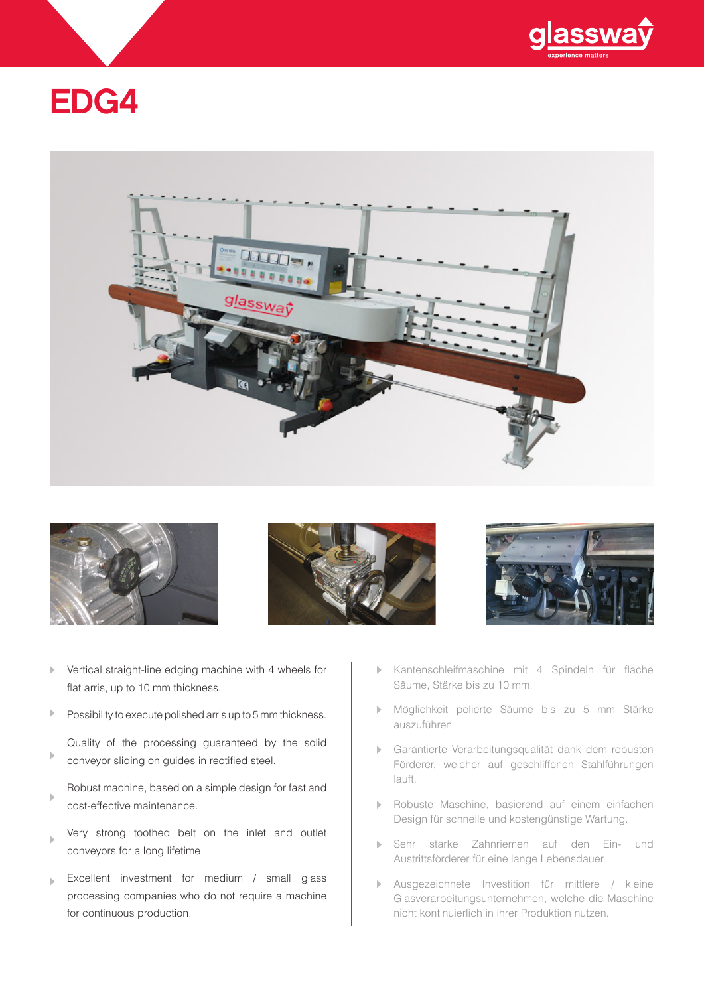

# EDG4









- $\overline{\mathbb{R}}$ Vertical straight-line edging machine with 4 wheels for flat arris, up to 10 mm thickness.
- $\mathbb{P}$ Possibility to execute polished arris up to 5 mm thickness.
- Quality of the processing guaranteed by the solid  $\left\vert \cdot\right\rangle$ conveyor sliding on guides in rectified steel.
- Robust machine, based on a simple design for fast and  $\overline{a}$ cost-effective maintenance.
- Very strong toothed belt on the inlet and outlet  $\mathbf{k}$ conveyors for a long lifetime.
- Excellent investment for medium / small glass  $\mathbf{h}_i$ processing companies who do not require a machine for continuous production.
- Kantenschleifmaschine mit 4 Spindeln für flache  $\mathbf{h}_i$ Säume, Stärke bis zu 10 mm.
- Möglichkeit polierte Säume bis zu 5 mm Stärke auszuführen
- Garantierte Verarbeitungsqualität dank dem robusten Förderer, welcher auf geschliffenen Stahlführungen lauft.
- Robuste Maschine, basierend auf einem einfachen  $\mathbf{h}$ Design für schnelle und kostengünstige Wartung.
- Sehr starke Zahnriemen auf den Ein- und  $\mathbf{h}_\mathrm{c}$ Austrittsförderer für eine lange Lebensdauer
- Ausgezeichnete Investition für mittlere / kleine  $\mathbf{p}$ Glasverarbeitungsunternehmen, welche die Maschine nicht kontinuierlich in ihrer Produktion nutzen.